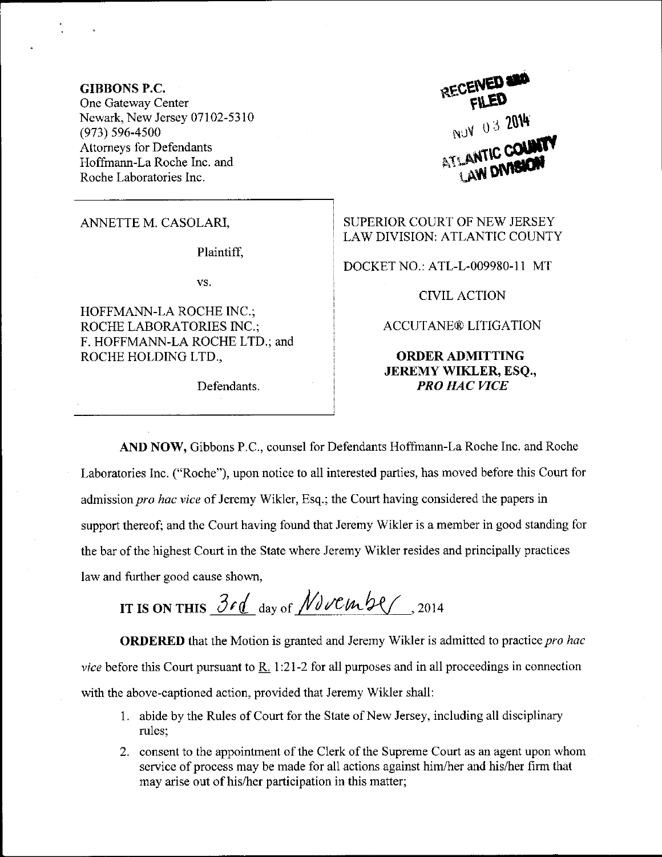GIBBONS P.C. One Gateway Center Newark, New Jersey 07102-5310 (973) s96-4soo Attomeys for Defendants Hoffmann-La Roche Inc. and Roche Laboratories Inc.

ANNETTE M. CASOLARI,

Plaintiff,

vs.

HOFFMANN-LA ROCHE INC.; ROCHE LABORATORIES INC.; F. HOFFMANN-LA ROCHE LTD.; and ROCHE HOLDING LTD.,

Defendants.

RECEIVED **400** NUY 03 2014

SUPERIOR COURT OF NEW JERSEY LAW DIVISION: ATLANTIC COUNTY

DOCKET NO.: ATL-L-009980-1 1 MT

CIVIL ACTION

ACCUTANE@ LITIGATION

ORDERADMITTING JEREMY WIKLER, ESQ., PRO HAC WCE

AND NOW, Gibbons P.C., counsel for Defendants Hoffrnam-La Roche Inc. and Roche Laboratories Inc. ("Roche"), upon notice to all interested parties, has moved before this Court for admission pro hac vice of Jeremy Wikler, Esq.; the Court having considered the papers in support thereof; and the Court having found that Jeremy Wikler is a member in good standing for the bar of the highest Court in the State where Jeremy Wikler resides and principally practices law and further good cause shown,

IT IS ON THIS  $3rd$  day of November , 2014

ORDERED that the Motion is granted and Jeremy Wikler is admitted to practice pro hac *vice* before this Court pursuant to  $\overline{R}$ . 1:21-2 for all purposes and in all proceedings in connection with the above-captioned action, provided that Jeremy Wikler shall:

- <sup>1</sup>. abide by the Rules of Court for the State of New Jersey, including all disciplinary rules;
- 2. consent to the appointment of the Clerk of the Supreme Court as an agent upon whom service of process may be made for all actions against him/her and his/her firm that may arise out of his/her participation in this matter;